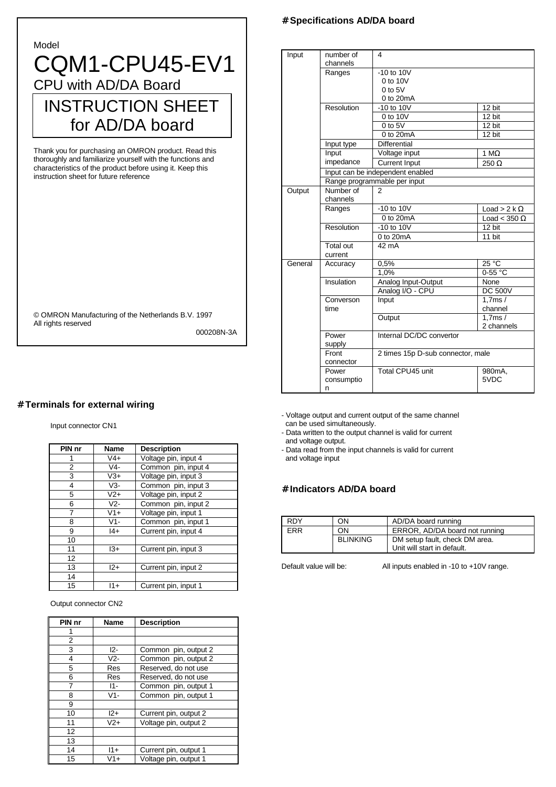#### Model

# CQM1-CPU45-EV1 CPU with AD/DA Board INSTRUCTION SHEET for AD/DA board

Thank you for purchasing an OMRON product. Read this thoroughly and familiarize yourself with the functions and characteristics of the product before using it. Keep this instruction sheet for future reference

© OMRON Manufacturing of the Netherlands B.V. 1997 All rights reserved

000208N-3A

### # **Terminals for external wiring**

#### Input connector CN1

| PIN nr | <b>Name</b> | <b>Description</b>   |
|--------|-------------|----------------------|
|        | $V4+$       | Voltage pin, input 4 |
| 2      | V4-         | Common pin, input 4  |
| 3      | V3+         | Voltage pin, input 3 |
| 4      | $V3-$       | Common pin, input 3  |
| 5      | $V2+$       | Voltage pin, input 2 |
| 6      | $V2-$       | Common pin, input 2  |
| 7      | $V1+$       | Voltage pin, input 1 |
| 8      | $V1 -$      | Common pin, input 1  |
| 9      | $ 4+$       | Current pin, input 4 |
| 10     |             |                      |
| 11     | $13+$       | Current pin, input 3 |
| 12     |             |                      |
| 13     | $12+$       | Current pin, input 2 |
| 14     |             |                      |
| 15     | $11+$       | Current pin, input 1 |

Output connector CN2

| PIN nr | Name  | <b>Description</b>    |
|--------|-------|-----------------------|
| 1      |       |                       |
| 2      |       |                       |
| 3      | $12-$ | Common pin, output 2  |
| 4      | $V2-$ | Common pin, output 2  |
| 5      | Res   | Reserved, do not use  |
| 6      | Res   | Reserved, do not use  |
| 7      | $11-$ | Common pin, output 1  |
| 8      | $V1-$ | Common pin, output 1  |
| 9      |       |                       |
| 10     | $12+$ | Current pin, output 2 |
| 11     | $V2+$ | Voltage pin, output 2 |
| 12     |       |                       |
| 13     |       |                       |
| 14     | $11+$ | Current pin, output 1 |
| 15     | $V1+$ | Voltage pin, output 1 |

#### # **Specifications AD/DA board**

| Input   | number of<br>channels    | 4                                                      |                      |  |  |  |  |
|---------|--------------------------|--------------------------------------------------------|----------------------|--|--|--|--|
|         | Ranges                   | $-10$ to $10V$<br>0 to 10V<br>$0$ to $5V$<br>0 to 20mA |                      |  |  |  |  |
|         | Resolution               | $-10$ to $10V$                                         | 12 bit               |  |  |  |  |
|         |                          | 0 to 10V                                               | $12 \text{ bit}$     |  |  |  |  |
|         |                          | $0$ to $5V$                                            | 12 bit               |  |  |  |  |
|         |                          | 0 to 20mA                                              | 12 bit               |  |  |  |  |
|         | Input type               | <b>Differential</b>                                    |                      |  |  |  |  |
|         | Input                    | Voltage input                                          | 1 M $\Omega$         |  |  |  |  |
|         | impedance                | <b>Current Input</b>                                   | $250 \Omega$         |  |  |  |  |
|         |                          | Input can be independent enabled                       |                      |  |  |  |  |
|         |                          | Range programmable per input                           |                      |  |  |  |  |
| Output  | Number of<br>channels    | 2                                                      |                      |  |  |  |  |
|         | Ranges                   | $-10$ to $10V$                                         | Load > 2 k $\Omega$  |  |  |  |  |
|         |                          | 0 to 20mA                                              | Load < 350 $\Omega$  |  |  |  |  |
|         | Resolution               | $-10$ to $10V$                                         | 12 bit               |  |  |  |  |
|         |                          | 0 to 20mA                                              | 11 bit               |  |  |  |  |
|         | Total out<br>current     | 42 mA                                                  |                      |  |  |  |  |
| General | Accuracy                 | 0,5%                                                   | $25^{\circ}$ C       |  |  |  |  |
|         |                          | 1.0%                                                   | $0-55 °C$            |  |  |  |  |
|         | Insulation               | Analog Input-Output                                    | None                 |  |  |  |  |
|         |                          | Analog I/O - CPU                                       | <b>DC 500V</b>       |  |  |  |  |
|         | Converson<br>time        | Input                                                  | 1.7ms/<br>channel    |  |  |  |  |
|         |                          | Output                                                 | 1.7ms/<br>2 channels |  |  |  |  |
|         | Power<br>supply          | Internal DC/DC convertor                               |                      |  |  |  |  |
|         | Front<br>connector       | 2 times 15p D-sub connector, male                      |                      |  |  |  |  |
|         | Power<br>consumptio<br>n | Total CPU45 unit                                       | 980mA.<br>5VDC       |  |  |  |  |

- Voltage output and current output of the same channel can be used simultaneously.

- Data written to the output channel is valid for current and voltage output.

- Data read from the input channels is valid for current and voltage input

#### # **Indicators AD/DA board**

| <b>RDY</b> | OΝ              | AD/DA board running            |
|------------|-----------------|--------------------------------|
| <b>FRR</b> | OΝ              | ERROR, AD/DA board not running |
|            | <b>BLINKING</b> | DM setup fault, check DM area. |
|            |                 | Unit will start in default.    |

Default value will be: All inputs enabled in -10 to +10V range.